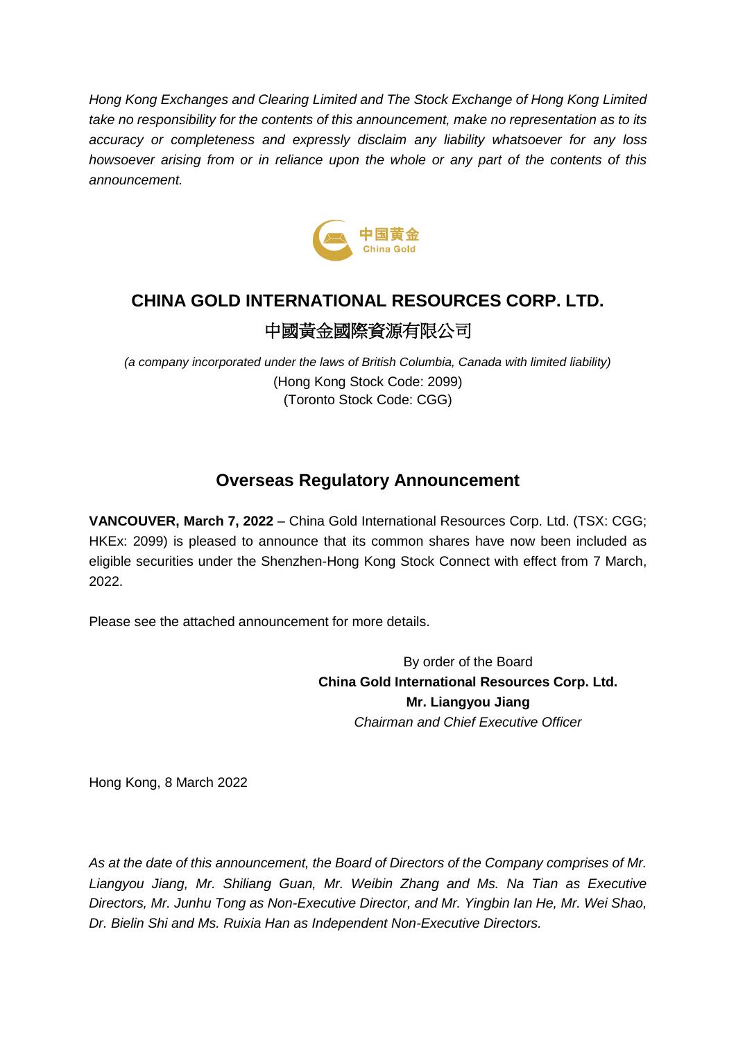*Hong Kong Exchanges and Clearing Limited and The Stock Exchange of Hong Kong Limited take no responsibility for the contents of this announcement, make no representation as to its accuracy or completeness and expressly disclaim any liability whatsoever for any loss howsoever arising from or in reliance upon the whole or any part of the contents of this announcement.*



## **CHINA GOLD INTERNATIONAL RESOURCES CORP. LTD.** 中國黃金國際資源有限公司

*(a company incorporated under the laws of British Columbia, Canada with limited liability)* (Hong Kong Stock Code: 2099) (Toronto Stock Code: CGG)

### **Overseas Regulatory Announcement**

**VANCOUVER, March 7, 2022** – China Gold International Resources Corp. Ltd. (TSX: CGG; HKEx: 2099) is pleased to announce that its common shares have now been included as eligible securities under the Shenzhen-Hong Kong Stock Connect with effect from 7 March, 2022.

Please see the attached announcement for more details.

By order of the Board **China Gold International Resources Corp. Ltd. Mr. Liangyou Jiang** *Chairman and Chief Executive Officer*

Hong Kong, 8 March 2022

*As at the date of this announcement, the Board of Directors of the Company comprises of Mr. Liangyou Jiang, Mr. Shiliang Guan, Mr. Weibin Zhang and Ms. Na Tian as Executive Directors, Mr. Junhu Tong as Non-Executive Director, and Mr. Yingbin Ian He, Mr. Wei Shao, Dr. Bielin Shi and Ms. Ruixia Han as Independent Non-Executive Directors.*